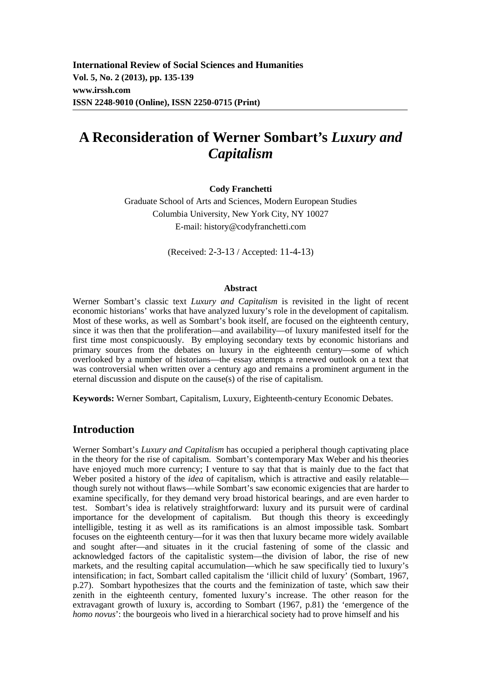**International Review of Social Sciences and Humanities Vol. 5, No. 2 (2013), pp. 135-139 www.irssh.com ISSN 2248-9010 (Online), ISSN 2250-0715 (Print)** 

# **A Reconsideration of Werner Sombart's** *Luxury and Capitalism*

#### **Cody Franchetti**

Graduate School of Arts and Sciences, Modern European Studies Columbia University, New York City, NY 10027 E-mail: history@codyfranchetti.com

(Received: 2-3-13 / Accepted: 11-4-13)

#### **Abstract**

Werner Sombart's classic text *Luxury and Capitalism* is revisited in the light of recent economic historians' works that have analyzed luxury's role in the development of capitalism. Most of these works, as well as Sombart's book itself, are focused on the eighteenth century, since it was then that the proliferation—and availability—of luxury manifested itself for the first time most conspicuously. By employing secondary texts by economic historians and primary sources from the debates on luxury in the eighteenth century—some of which overlooked by a number of historians—the essay attempts a renewed outlook on a text that was controversial when written over a century ago and remains a prominent argument in the eternal discussion and dispute on the cause(s) of the rise of capitalism.

**Keywords:** Werner Sombart, Capitalism, Luxury, Eighteenth-century Economic Debates.

### **Introduction**

Werner Sombart's *Luxury and Capitalism* has occupied a peripheral though captivating place in the theory for the rise of capitalism. Sombart's contemporary Max Weber and his theories have enjoyed much more currency; I venture to say that that is mainly due to the fact that Weber posited a history of the *idea* of capitalism, which is attractive and easily relatable though surely not without flaws—while Sombart's saw economic exigencies that are harder to examine specifically, for they demand very broad historical bearings, and are even harder to test. Sombart's idea is relatively straightforward: luxury and its pursuit were of cardinal importance for the development of capitalism. But though this theory is exceedingly intelligible, testing it as well as its ramifications is an almost impossible task. Sombart focuses on the eighteenth century—for it was then that luxury became more widely available and sought after—and situates in it the crucial fastening of some of the classic and acknowledged factors of the capitalistic system—the division of labor, the rise of new markets, and the resulting capital accumulation—which he saw specifically tied to luxury's intensification; in fact, Sombart called capitalism the 'illicit child of luxury' (Sombart, 1967, p.27). Sombart hypothesizes that the courts and the feminization of taste, which saw their zenith in the eighteenth century, fomented luxury's increase. The other reason for the extravagant growth of luxury is, according to Sombart (1967, p.81) the 'emergence of the *homo novus*': the bourgeois who lived in a hierarchical society had to prove himself and his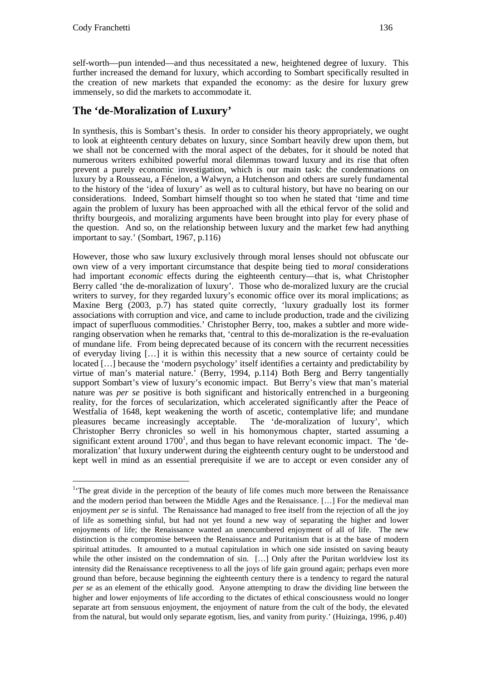$\overline{a}$ 

self-worth—pun intended—and thus necessitated a new, heightened degree of luxury. This further increased the demand for luxury, which according to Sombart specifically resulted in the creation of new markets that expanded the economy: as the desire for luxury grew immensely, so did the markets to accommodate it.

# **The 'de-Moralization of Luxury'**

In synthesis, this is Sombart's thesis. In order to consider his theory appropriately, we ought to look at eighteenth century debates on luxury, since Sombart heavily drew upon them, but we shall not be concerned with the moral aspect of the debates, for it should be noted that numerous writers exhibited powerful moral dilemmas toward luxury and its rise that often prevent a purely economic investigation, which is our main task: the condemnations on luxury by a Rousseau, a Fénelon, a Walwyn, a Hutchenson and others are surely fundamental to the history of the 'idea of luxury' as well as to cultural history, but have no bearing on our considerations. Indeed, Sombart himself thought so too when he stated that 'time and time again the problem of luxury has been approached with all the ethical fervor of the solid and thrifty bourgeois, and moralizing arguments have been brought into play for every phase of the question. And so, on the relationship between luxury and the market few had anything important to say.' (Sombart, 1967, p.116)

However, those who saw luxury exclusively through moral lenses should not obfuscate our own view of a very important circumstance that despite being tied to *moral* considerations had important *economic* effects during the eighteenth century—that is, what Christopher Berry called 'the de-moralization of luxury'. Those who de-moralized luxury are the crucial writers to survey, for they regarded luxury's economic office over its moral implications; as Maxine Berg (2003, p.7) has stated quite correctly, 'luxury gradually lost its former associations with corruption and vice, and came to include production, trade and the civilizing impact of superfluous commodities.' Christopher Berry, too, makes a subtler and more wideranging observation when he remarks that, 'central to this de-moralization is the re-evaluation of mundane life. From being deprecated because of its concern with the recurrent necessities of everyday living […] it is within this necessity that a new source of certainty could be located […] because the 'modern psychology' itself identifies a certainty and predictability by virtue of man's material nature.' (Berry, 1994, p.114) Both Berg and Berry tangentially support Sombart's view of luxury's economic impact. But Berry's view that man's material nature was *per se* positive is both significant and historically entrenched in a burgeoning reality, for the forces of secularization, which accelerated significantly after the Peace of Westfalia of 1648, kept weakening the worth of ascetic, contemplative life; and mundane pleasures became increasingly acceptable. The 'de-moralization of luxury', which Christopher Berry chronicles so well in his homonymous chapter, started assuming a significant extent around  $1700<sup>1</sup>$ , and thus began to have relevant economic impact. The 'demoralization' that luxury underwent during the eighteenth century ought to be understood and kept well in mind as an essential prerequisite if we are to accept or even consider any of

<sup>&</sup>lt;sup>1</sup>The great divide in the perception of the beauty of life comes much more between the Renaissance and the modern period than between the Middle Ages and the Renaissance. […] For the medieval man enjoyment *per se* is sinful. The Renaissance had managed to free itself from the rejection of all the joy of life as something sinful, but had not yet found a new way of separating the higher and lower enjoyments of life; the Renaissance wanted an unencumbered enjoyment of all of life. The new distinction is the compromise between the Renaissance and Puritanism that is at the base of modern spiritual attitudes. It amounted to a mutual capitulation in which one side insisted on saving beauty while the other insisted on the condemnation of sin. [...] Only after the Puritan worldview lost its intensity did the Renaissance receptiveness to all the joys of life gain ground again; perhaps even more ground than before, because beginning the eighteenth century there is a tendency to regard the natural *per se* as an element of the ethically good. Anyone attempting to draw the dividing line between the higher and lower enjoyments of life according to the dictates of ethical consciousness would no longer separate art from sensuous enjoyment, the enjoyment of nature from the cult of the body, the elevated from the natural, but would only separate egotism, lies, and vanity from purity.' (Huizinga, 1996, p.40)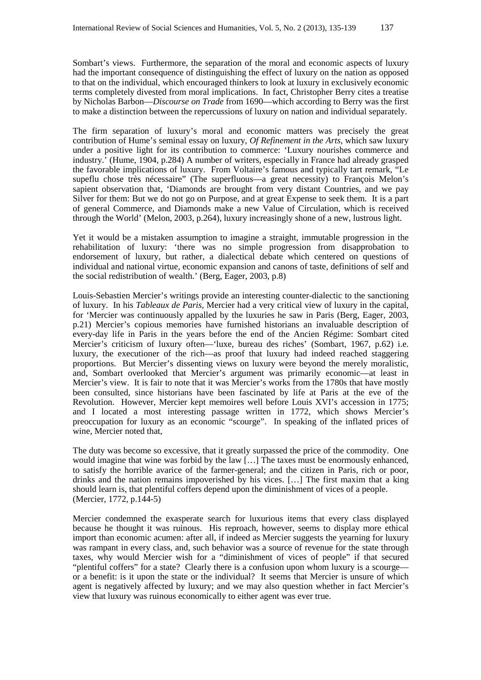Sombart's views. Furthermore, the separation of the moral and economic aspects of luxury had the important consequence of distinguishing the effect of luxury on the nation as opposed to that on the individual, which encouraged thinkers to look at luxury in exclusively economic terms completely divested from moral implications. In fact, Christopher Berry cites a treatise by Nicholas Barbon—*Discourse on Trade* from 1690—which according to Berry was the first to make a distinction between the repercussions of luxury on nation and individual separately.

The firm separation of luxury's moral and economic matters was precisely the great contribution of Hume's seminal essay on luxury, *Of Refinement in the Arts*, which saw luxury under a positive light for its contribution to commerce: 'Luxury nourishes commerce and industry.' (Hume, 1904, p.284) A number of writers, especially in France had already grasped the favorable implications of luxury. From Voltaire's famous and typically tart remark, "Le supeflu chose très nécessaire" (The superfluous—a great necessity) to François Melon's sapient observation that, 'Diamonds are brought from very distant Countries, and we pay Silver for them: But we do not go on Purpose, and at great Expense to seek them. It is a part of general Commerce, and Diamonds make a new Value of Circulation, which is received through the World' (Melon, 2003, p.264), luxury increasingly shone of a new, lustrous light.

Yet it would be a mistaken assumption to imagine a straight, immutable progression in the rehabilitation of luxury: 'there was no simple progression from disapprobation to endorsement of luxury, but rather, a dialectical debate which centered on questions of individual and national virtue, economic expansion and canons of taste, definitions of self and the social redistribution of wealth.' (Berg, Eager, 2003, p.8)

Louis-Sebastien Mercier's writings provide an interesting counter-dialectic to the sanctioning of luxury. In his *Tableaux de Paris*, Mercier had a very critical view of luxury in the capital, for 'Mercier was continuously appalled by the luxuries he saw in Paris (Berg, Eager, 2003, p.21) Mercier's copious memories have furnished historians an invaluable description of every-day life in Paris in the years before the end of the Ancien Régime: Sombart cited Mercier's criticism of luxury often—'luxe, bureau des riches' (Sombart, 1967, p.62) i.e. luxury, the executioner of the rich—as proof that luxury had indeed reached staggering proportions. But Mercier's dissenting views on luxury were beyond the merely moralistic, and, Sombart overlooked that Mercier's argument was primarily economic—at least in Mercier's view. It is fair to note that it was Mercier's works from the 1780s that have mostly been consulted, since historians have been fascinated by life at Paris at the eve of the Revolution. However, Mercier kept memoires well before Louis XVI's accession in 1775; and I located a most interesting passage written in 1772, which shows Mercier's preoccupation for luxury as an economic "scourge". In speaking of the inflated prices of wine, Mercier noted that,

The duty was become so excessive, that it greatly surpassed the price of the commodity. One would imagine that wine was forbid by the law […] The taxes must be enormously enhanced, to satisfy the horrible avarice of the farmer-general; and the citizen in Paris, rich or poor, drinks and the nation remains impoverished by his vices. […] The first maxim that a king should learn is, that plentiful coffers depend upon the diminishment of vices of a people. (Mercier, 1772, p.144-5)

Mercier condemned the exasperate search for luxurious items that every class displayed because he thought it was ruinous. His reproach, however, seems to display more ethical import than economic acumen: after all, if indeed as Mercier suggests the yearning for luxury was rampant in every class, and, such behavior was a source of revenue for the state through taxes, why would Mercier wish for a "diminishment of vices of people" if that secured "plentiful coffers" for a state? Clearly there is a confusion upon whom luxury is a scourge or a benefit: is it upon the state or the individual? It seems that Mercier is unsure of which agent is negatively affected by luxury; and we may also question whether in fact Mercier's view that luxury was ruinous economically to either agent was ever true.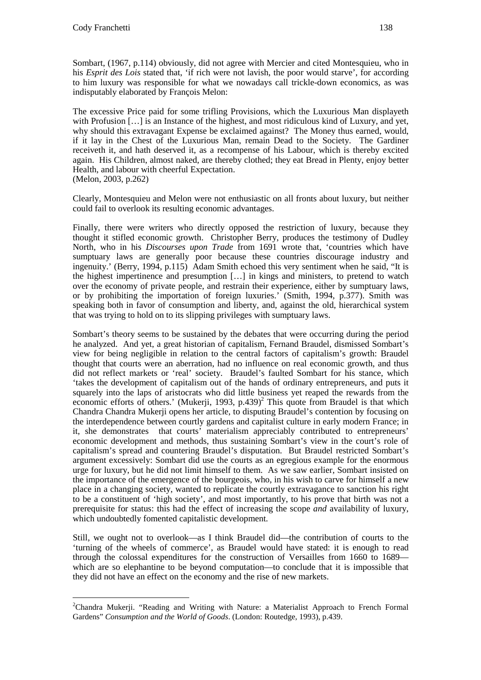$\overline{a}$ 

Sombart, (1967, p.114) obviously, did not agree with Mercier and cited Montesquieu, who in his *Esprit des Lois* stated that, 'if rich were not lavish, the poor would starve', for according to him luxury was responsible for what we nowadays call trickle-down economics, as was indisputably elaborated by François Melon:

The excessive Price paid for some trifling Provisions, which the Luxurious Man displayeth with Profusion […] is an Instance of the highest, and most ridiculous kind of Luxury, and yet, why should this extravagant Expense be exclaimed against? The Money thus earned, would, if it lay in the Chest of the Luxurious Man, remain Dead to the Society. The Gardiner receiveth it, and hath deserved it, as a recompense of his Labour, which is thereby excited again. His Children, almost naked, are thereby clothed; they eat Bread in Plenty, enjoy better Health, and labour with cheerful Expectation. (Melon, 2003, p.262)

Clearly, Montesquieu and Melon were not enthusiastic on all fronts about luxury, but neither could fail to overlook its resulting economic advantages.

Finally, there were writers who directly opposed the restriction of luxury, because they thought it stifled economic growth. Christopher Berry, produces the testimony of Dudley North, who in his *Discourses upon Trade* from 1691 wrote that, 'countries which have sumptuary laws are generally poor because these countries discourage industry and ingenuity.' (Berry, 1994, p.115) Adam Smith echoed this very sentiment when he said, "It is the highest impertinence and presumption […] in kings and ministers, to pretend to watch over the economy of private people, and restrain their experience, either by sumptuary laws, or by prohibiting the importation of foreign luxuries.' (Smith, 1994, p.377). Smith was speaking both in favor of consumption and liberty, and, against the old, hierarchical system that was trying to hold on to its slipping privileges with sumptuary laws.

Sombart's theory seems to be sustained by the debates that were occurring during the period he analyzed. And yet, a great historian of capitalism, Fernand Braudel, dismissed Sombart's view for being negligible in relation to the central factors of capitalism's growth: Braudel thought that courts were an aberration, had no influence on real economic growth, and thus did not reflect markets or 'real' society. Braudel's faulted Sombart for his stance, which 'takes the development of capitalism out of the hands of ordinary entrepreneurs, and puts it squarely into the laps of aristocrats who did little business yet reaped the rewards from the economic efforts of others.' (Mukerji, 1993, p.439)<sup>2</sup> This quote from Braudel is that which Chandra Chandra Mukerji opens her article, to disputing Braudel's contention by focusing on the interdependence between courtly gardens and capitalist culture in early modern France; in it, she demonstrates that courts' materialism appreciably contributed to entrepreneurs' economic development and methods, thus sustaining Sombart's view in the court's role of capitalism's spread and countering Braudel's disputation. But Braudel restricted Sombart's argument excessively: Sombart did use the courts as an egregious example for the enormous urge for luxury, but he did not limit himself to them. As we saw earlier, Sombart insisted on the importance of the emergence of the bourgeois, who, in his wish to carve for himself a new place in a changing society, wanted to replicate the courtly extravagance to sanction his right to be a constituent of 'high society', and most importantly, to his prove that birth was not a prerequisite for status: this had the effect of increasing the scope *and* availability of luxury, which undoubtedly fomented capitalistic development.

Still, we ought not to overlook—as I think Braudel did—the contribution of courts to the 'turning of the wheels of commerce', as Braudel would have stated: it is enough to read through the colossal expenditures for the construction of Versailles from 1660 to 1689 which are so elephantine to be beyond computation—to conclude that it is impossible that they did not have an effect on the economy and the rise of new markets.

<sup>&</sup>lt;sup>2</sup>Chandra Mukerji. "Reading and Writing with Nature: a Materialist Approach to French Formal Gardens" *Consumption and the World of Goods*. (London: Routedge, 1993), p.439.